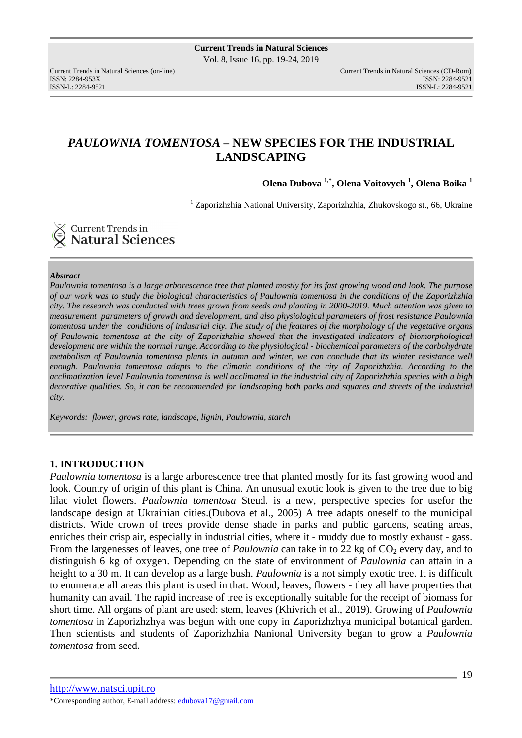# *PAULOWNIA TOMENTOSA* **– NEW SPECIES FOR THE INDUSTRIAL LANDSCAPING**

**Olena Dubova 1,\*, Olena Voitovych <sup>1</sup> , Olena Boika <sup>1</sup>** 

<sup>1</sup> Zaporizhzhia National University, Zaporizhzhia, Zhukovskogo st., 66, Ukraine

**Current Trends in<br>Natural Sciences** 

### *Abstract*

*Paulownia tomentosa is a large arborescence tree that planted mostly for its fast growing wood and look. The purpose of our work was to study the biological characteristics of Paulownia tomentosa in the conditions of the Zaporizhzhia city. The research was conducted with trees grown from seeds and planting in 2000-2019. Much attention was given to measurement parameters of growth and development, and also physiological parameters of frost resistance Paulownia tomentosa under the conditions of industrial city. The study of the features of the morphology of the vegetative organs of Paulownia tomentosa at the city of Zaporizhzhia showed that the investigated indicators of biomorphological development are within the normal range. According to the physiological - biochemical parameters of the carbohydrate metabolism of Paulownia tomentosa plants in autumn and winter, we can conclude that its winter resistance well enough. Paulownia tomentosa adapts to the climatic conditions of the city of Zaporizhzhia. According to the acclimatization level Paulownia tomentosa is well acclimated in the industrial city of Zaporizhzhia species with a high decorative qualities. So, it can be recommended for landscaping both parks and squares and streets of the industrial city.* 

*Keywords: flower, grows rate, landscape, lignin, Paulownia, starch* 

## **1. INTRODUCTION**

*Paulownia tomentosa* is a large arborescence tree that planted mostly for its fast growing wood and look. Country of origin of this plant is China. An unusual exotic look is given to the tree due to big lilac violet flowers. *Paulownia tomentosa* Steud. is a new, perspective species for usefor the landscape design at Ukrainian cities.(Dubova et al., 2005) A tree adapts oneself to the municipal districts. Wide crown of trees provide dense shade in parks and public gardens, seating areas, enriches their crisp air, especially in industrial cities, where it - muddy due to mostly exhaust - gass. From the largenesses of leaves, one tree of *Paulownia* can take in to 22 kg of CO<sub>2</sub> every day, and to distinguish 6 kg of oxygen. Depending on the state of environment of *Paulownia* can attain in a height to a 30 m. It can develop as a large bush. *Paulownia* is a not simply exotic tree. It is difficult to enumerate all areas this plant is used in that. Wood, leaves, flowers - they all have properties that humanity can avail. The rapid increase of tree is exceptionally suitable for the receipt of biomass for short time. All organs of plant are used: stem, leaves (Khivrich et al., 2019). Growing of *Paulownia tomentosa* in Zaporizhzhya was begun with one copy in Zaporizhzhya municipal botanical garden. Then scientists and students of Zaporizhzhia Nanional University began to grow a *Paulownia tomentosa* from seed.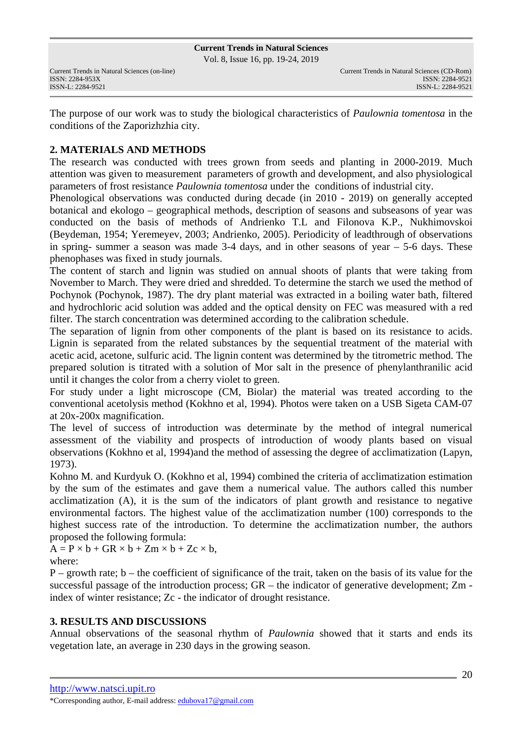Vol. 8, Issue 16, pp. 19-24, 2019

The purpose of our work was to study the biological characteristics of *Paulownia tomentosa* in the conditions of the Zaporizhzhia city.

# **2. MATERIALS AND METHODS**

The research was conducted with trees grown from seeds and planting in 2000-2019. Much attention was given to measurement parameters of growth and development, and also physiological parameters of frost resistance *Paulownia tomentosa* under the conditions of industrial city.

Phenological observations was conducted during decade (in 2010 - 2019) on generally accepted botanical and ekologo – geographical methods, description of seasons and subseasons of year was conducted on the basis of methods of Andrienko T.L and Filonova K.P., Nukhimovskoi (Beydeman, 1954; Yeremeyev, 2003; Andrienko, 2005). Periodicity of leadthrough of observations in spring- summer a season was made 3-4 days, and in other seasons of year – 5-6 days. These phenophases was fixed in study journals.

The content of starch and lignin was studied on annual shoots of plants that were taking from November to March. They were dried and shredded. To determine the starch we used the method of Pochynok (Pochynok, 1987). The dry plant material was extracted in a boiling water bath, filtered and hydrochloric acid solution was added and the optical density on FEC was measured with a red filter. The starch concentration was determined according to the calibration schedule.

The separation of lignin from other components of the plant is based on its resistance to acids. Lignin is separated from the related substances by the sequential treatment of the material with acetic acid, acetone, sulfuric acid. The lignin content was determined by the titrometric method. The prepared solution is titrated with a solution of Mor salt in the presence of phenylanthranilic acid until it changes the color from a cherry violet to green.

For study under a light microscope (CM, Biolar) the material was treated according to the conventional acetolysis method (Kokhno et al, 1994). Photos were taken on a USB Sigeta CAM-07 at 20x-200x magnification.

The level of success of introduction was determinate by the method of integral numerical assessment of the viability and prospects of introduction of woody plants based on visual observations (Kokhno et al, 1994)and the method of assessing the degree of acclimatization (Lapyn, 1973).

Kohno M. and Kurdyuk O. (Kokhno et al, 1994) combined the criteria of acclimatization estimation by the sum of the estimates and gave them a numerical value. The authors called this number acclimatization (A), it is the sum of the indicators of plant growth and resistance to negative environmental factors. The highest value of the acclimatization number (100) corresponds to the highest success rate of the introduction. To determine the acclimatization number, the authors proposed the following formula:

 $A = P \times b + GR \times b + Zm \times b + Zc \times b$ ,

where:

 $P$  – growth rate;  $b$  – the coefficient of significance of the trait, taken on the basis of its value for the successful passage of the introduction process; GR – the indicator of generative development; Zm index of winter resistance; Zc - the indicator of drought resistance.

# **3. RESULTS AND DISCUSSIONS**

Annual observations of the seasonal rhythm of *Paulownia* showed that it starts and ends its vegetation late, an average in 230 days in the growing season.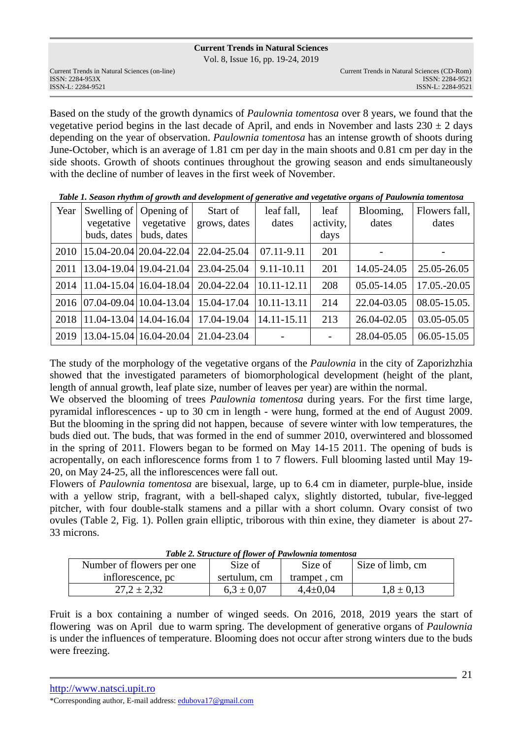Vol. 8, Issue 16, pp. 19-24, 2019

Based on the study of the growth dynamics of *Paulownia tomentosa* over 8 years, we found that the vegetative period begins in the last decade of April, and ends in November and lasts  $230 \pm 2$  days depending on the year of observation. *Paulownia tomentosa* has an intense growth of shoots during June-October, which is an average of 1.81 cm per day in the main shoots and 0.81 cm per day in the side shoots. Growth of shoots continues throughout the growing season and ends simultaneously with the decline of number of leaves in the first week of November.

| Year | vegetative<br>buds, dates | Swelling of   Opening of  <br>vegetative<br>buds, dates | Start of<br>grows, dates | leaf fall,<br>dates | leaf<br>activity,<br>days | Blooming,<br>dates | Flowers fall,<br>dates |
|------|---------------------------|---------------------------------------------------------|--------------------------|---------------------|---------------------------|--------------------|------------------------|
| 2010 |                           | 15.04-20.04 20.04-22.04                                 | 22.04-25.04              | 07.11-9.11          | 201                       |                    |                        |
| 2011 |                           | 13.04-19.04   19.04-21.04                               | 23.04-25.04              | 9.11-10.11          | 201                       | 14.05-24.05        | 25.05-26.05            |
| 2014 |                           | $11.04 - 15.04$   16.04 - 18.04                         | 20.04-22.04              | 10.11-12.11         | 208                       | 05.05-14.05        | 17.05.-20.05           |
| 2016 |                           | $ 07.04 - 09.04 10.04 - 13.04 $                         | 15.04-17.04              | 10.11-13.11         | 214                       | 22.04-03.05        | $08.05 - 15.05$ .      |
| 2018 |                           | $11.04 - 13.04$   14.04 - 16.04                         | 17.04-19.04              | $14.11 - 15.11$     | 213                       | 26.04-02.05        | 03.05-05.05            |
| 2019 |                           | 13.04-15.04   16.04-20.04                               | 21.04-23.04              |                     |                           | 28.04-05.05        | $06.05 - 15.05$        |

*Table 1. Season rhythm of growth and development of generative and vegetative organs of Paulownia tomentosa*

The study of the morphology of the vegetative organs of the *Paulownia* in the city of Zaporizhzhia showed that the investigated parameters of biomorphological development (height of the plant, length of annual growth, leaf plate size, number of leaves per year) are within the normal.

We observed the blooming of trees *Paulownia tomentosa* during years. For the first time large, pyramidal inflorescences - up to 30 cm in length - were hung, formed at the end of August 2009. But the blooming in the spring did not happen, because of severe winter with low temperatures, the buds died out. The buds, that was formed in the end of summer 2010, overwintered and blossomed in the spring of 2011. Flowers began to be formed on May 14-15 2011. The opening of buds is acropentally, on each inflorescence forms from 1 to 7 flowers. Full blooming lasted until May 19- 20, on May 24-25, all the inflorescences were fall out.

Flowers of *Paulownia tomentosa* are bisexual, large, up to 6.4 cm in diameter, purple-blue, inside with a yellow strip, fragrant, with a bell-shaped calyx, slightly distorted, tubular, five-legged pitcher, with four double-stalk stamens and a pillar with a short column. Ovary consist of two ovules (Table 2, Fig. 1). Pollen grain elliptic, triborous with thin exine, they diameter is about 27- 33 microns.

| Tuble 2. Structure of flower of Lawtownia tomentosa |                |                |                  |  |  |  |
|-----------------------------------------------------|----------------|----------------|------------------|--|--|--|
| Number of flowers per one                           | Size of        | Size of        | Size of limb, cm |  |  |  |
| inflorescence, pc                                   | sertulum, cm   | trampet, cm    |                  |  |  |  |
| $27.2 \pm 2.32$                                     | $6.3 \pm 0.07$ | $4.4 \pm 0.04$ | $1.8 \pm 0.13$   |  |  |  |

*Table 2. Structure of flower of Pawlownia tomentosa* 

Fruit is a box containing a number of winged seeds. On 2016, 2018, 2019 years the start of flowering was on April due to warm spring. The development of generative organs of *Paulownia* is under the influences of temperature. Blooming does not occur after strong winters due to the buds were freezing.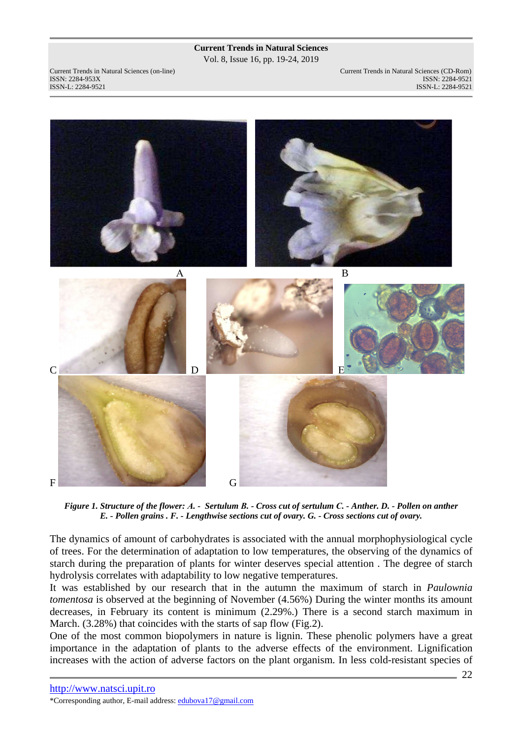Vol. 8, Issue 16, pp. 19-24, 2019

Current Trends in Natural Sciences (on-line) Current Trends in Natural Sciences (CD-Rom) ISSN: 2284-953XISSN: 2284-9521 ISSN-L: 2284-9521 ISSN-L: 2284-9521



*Figure 1. Structure of the flower: А. - Sertulum В. - Cross cut of sertulum С. - Anther. D. - Pollen on anther E. - Pollen grains . F. - Lengthwise sections cut of ovary. G. - Cross sections cut of ovary.* 

The dynamics of amount of carbohydrates is associated with the annual morphophysiological cycle of trees. For the determination of adaptation to low temperatures, the observing of the dynamics of starch during the preparation of plants for winter deserves special attention . The degree of starch hydrolysis correlates with adaptability to low negative temperatures.

It was established by our research that in the autumn the maximum of starch in *Paulownia tomentosa* is observed at the beginning of November (4.56%) During the winter months its amount decreases, in February its content is minimum (2.29%.) There is a second starch maximum in March. (3.28%) that coincides with the starts of sap flow (Fig.2).

One of the most common biopolymers in nature is lignin. These phenolic polymers have a great importance in the adaptation of plants to the adverse effects of the environment. Lignification increases with the action of adverse factors on the plant organism. In less cold-resistant species of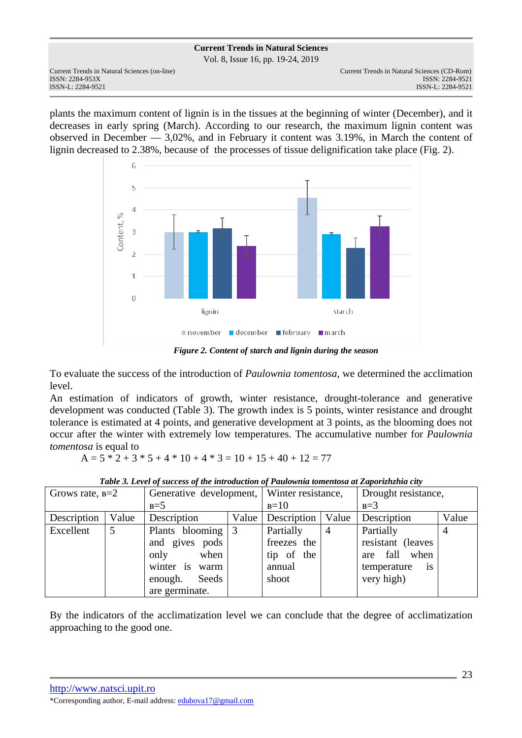Vol. 8, Issue 16, pp. 19-24, 2019

plants the maximum content of lignin is in the tissues at the beginning of winter (December), and it decreases in early spring (March). According to our research, the maximum lignin content was observed in December — 3,02%, and in February it content was 3.19%, in March the content of lignin decreased to 2.38%, because of the processes of tissue delignification take place (Fig. 2).



*Figure 2. Content of starch and lignin during the season* 

To evaluate the success of the introduction of *Paulownia tomentosa*, we determined the acclimation level.

An estimation of indicators of growth, winter resistance, drought-tolerance and generative development was conducted (Table 3). The growth index is 5 points, winter resistance and drought tolerance is estimated at 4 points, and generative development at 3 points, as the blooming does not occur after the winter with extremely low temperatures. The accumulative number for *Paulownia tomentosa* is equal to

 $A = 5 * 2 + 3 * 5 + 4 * 10 + 4 * 3 = 10 + 15 + 40 + 12 = 77$ 

|  | Table 3. Level of success of the introduction of Paulownia tomentosa at Zaporizhzhia city |  |
|--|-------------------------------------------------------------------------------------------|--|
|  |                                                                                           |  |

| Grows rate, $B=2$ |       | Generative development, Winter resistance, |       |                     |                | Drought resistance,            |       |
|-------------------|-------|--------------------------------------------|-------|---------------------|----------------|--------------------------------|-------|
|                   |       | $B=5$                                      |       | $B=10$              |                | $B=3$                          |       |
| Description       | Value | Description                                | Value | Description   Value |                | Description                    | Value |
| Excellent         | 5     | Plants blooming 3                          |       | Partially           | $\overline{4}$ | Partially                      |       |
|                   |       | and gives pods                             |       | freezes the         |                | resistant (leaves              |       |
|                   |       | only<br>when                               |       | tip of the          |                | fall when<br>are               |       |
|                   |       | winter is<br>warm                          |       | annual              |                | temperature<br>$\overline{1}S$ |       |
|                   |       | enough.<br>Seeds                           |       | shoot               |                | very high)                     |       |
|                   |       | are germinate.                             |       |                     |                |                                |       |

By the indicators of the acclimatization level we can conclude that the degree of acclimatization approaching to the good one.

http://www.natsci.upit.ro \*Corresponding author, E-mail address: edubova17@gmail.com